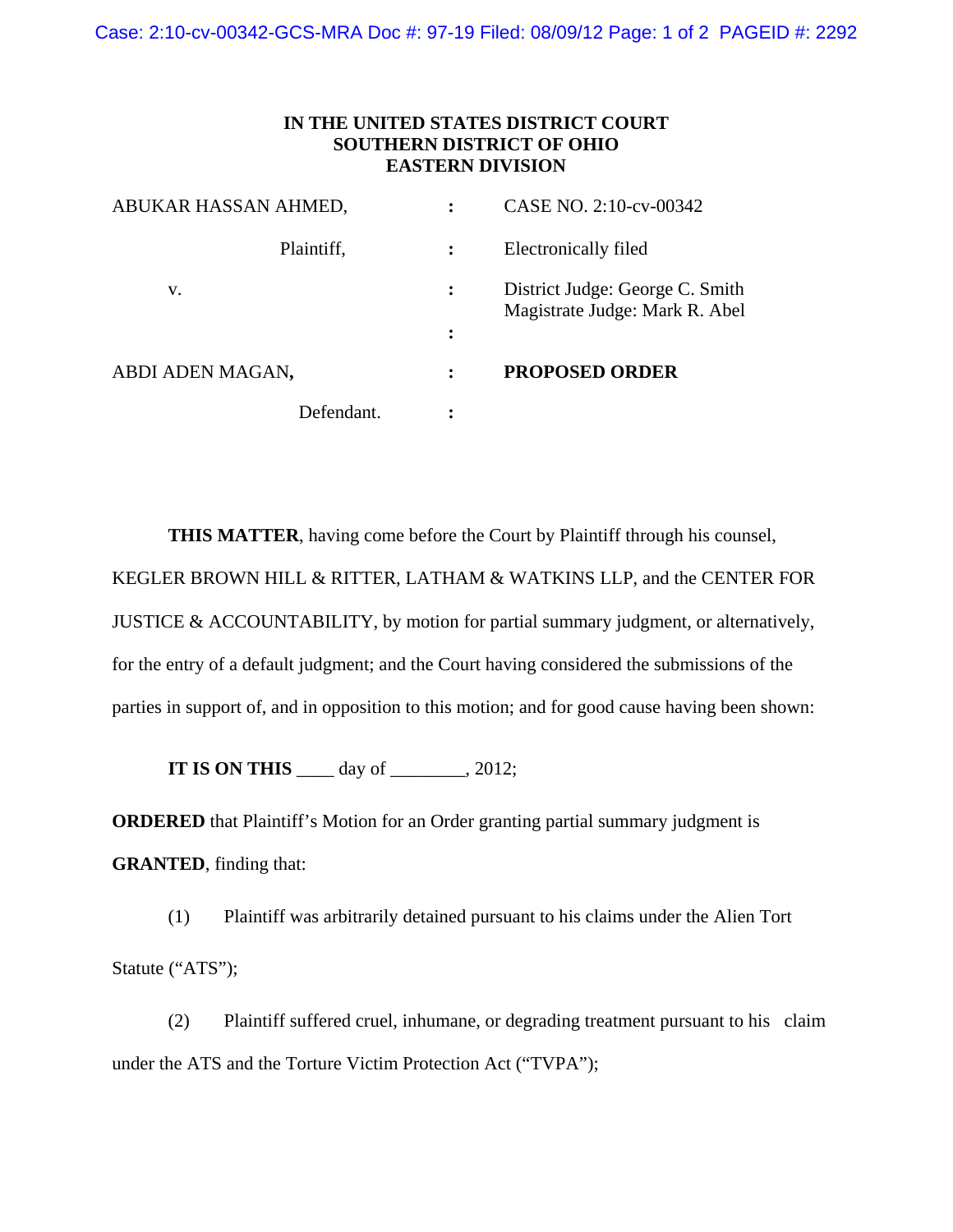Case: 2:10-cv-00342-GCS-MRA Doc #: 97-19 Filed: 08/09/12 Page: 1 of 2 PAGEID #: 2292

## **IN THE UNITED STATES DISTRICT COURT SOUTHERN DISTRICT OF OHIO EASTERN DIVISION**

| ABUKAR HASSAN AHMED, |            |   | CASE NO. 2:10-cv-00342                                            |
|----------------------|------------|---|-------------------------------------------------------------------|
|                      | Plaintiff, |   | Electronically filed                                              |
| V.                   |            |   | District Judge: George C. Smith<br>Magistrate Judge: Mark R. Abel |
|                      |            | ፡ |                                                                   |
| ABDI ADEN MAGAN,     |            |   | <b>PROPOSED ORDER</b>                                             |
|                      | Defendant. |   |                                                                   |

**THIS MATTER**, having come before the Court by Plaintiff through his counsel, KEGLER BROWN HILL & RITTER, LATHAM & WATKINS LLP, and the CENTER FOR JUSTICE & ACCOUNTABILITY, by motion for partial summary judgment, or alternatively, for the entry of a default judgment; and the Court having considered the submissions of the parties in support of, and in opposition to this motion; and for good cause having been shown:

**IT IS ON THIS** \_\_\_\_\_ day of \_\_\_\_\_\_\_, 2012;

**ORDERED** that Plaintiff's Motion for an Order granting partial summary judgment is **GRANTED**, finding that:

(1) Plaintiff was arbitrarily detained pursuant to his claims under the Alien Tort Statute ("ATS");

 (2) Plaintiff suffered cruel, inhumane, or degrading treatment pursuant to his claim under the ATS and the Torture Victim Protection Act ("TVPA");